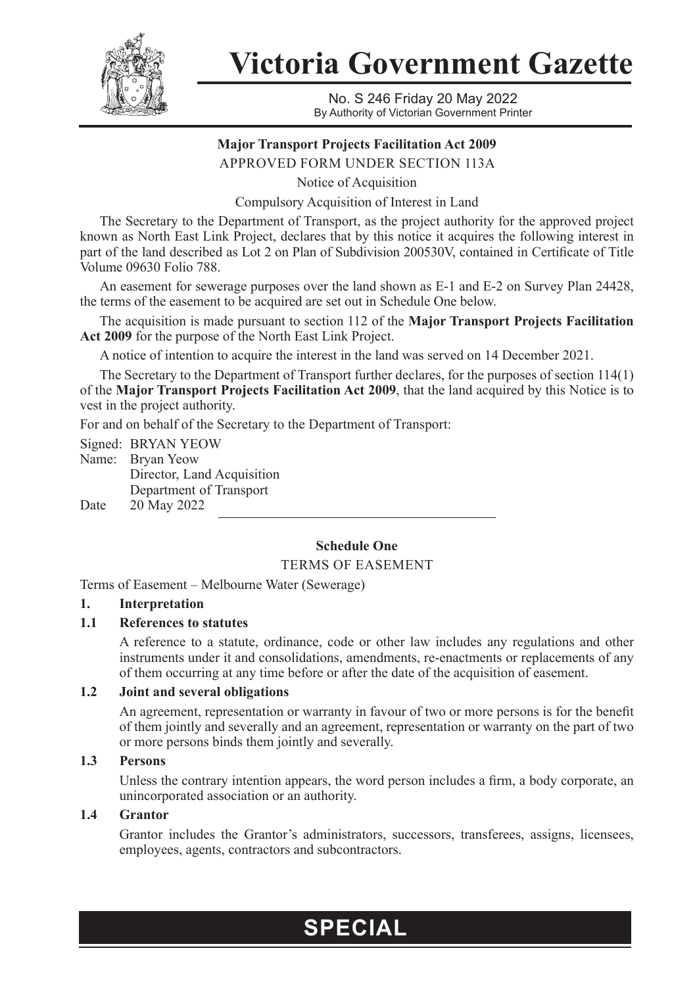

**Victoria Government Gazette**

No. S 246 Friday 20 May 2022 By Authority of Victorian Government Printer

# **Major Transport Projects Facilitation Act 2009**

APPROVED FORM UNDER SECTION 113A

Notice of Acquisition

Compulsory Acquisition of Interest in Land

The Secretary to the Department of Transport, as the project authority for the approved project known as North East Link Project, declares that by this notice it acquires the following interest in part of the land described as Lot 2 on Plan of Subdivision 200530V, contained in Certificate of Title Volume 09630 Folio 788.

An easement for sewerage purposes over the land shown as E-1 and E-2 on Survey Plan 24428, the terms of the easement to be acquired are set out in Schedule One below.

The acquisition is made pursuant to section 112 of the **Major Transport Projects Facilitation Act 2009** for the purpose of the North East Link Project.

A notice of intention to acquire the interest in the land was served on 14 December 2021.

The Secretary to the Department of Transport further declares, for the purposes of section 114(1) of the **Major Transport Projects Facilitation Act 2009**, that the land acquired by this Notice is to vest in the project authority.

For and on behalf of the Secretary to the Department of Transport:

Signed: BRYAN YEOW Name: Bryan Yeow Director, Land Acquisition Department of Transport Date 20 May 2022

# **Schedule One**

TERMS OF EASEMENT

Terms of Easement – Melbourne Water (Sewerage)

#### **1. Interpretation**

#### **1.1 References to statutes**

A reference to a statute, ordinance, code or other law includes any regulations and other instruments under it and consolidations, amendments, re-enactments or replacements of any of them occurring at any time before or after the date of the acquisition of easement.

# **1.2 Joint and several obligations**

An agreement, representation or warranty in favour of two or more persons is for the benefit of them jointly and severally and an agreement, representation or warranty on the part of two or more persons binds them jointly and severally.

# **1.3 Persons**

Unless the contrary intention appears, the word person includes a firm, a body corporate, an unincorporated association or an authority.

# **1.4 Grantor**

Grantor includes the Grantor's administrators, successors, transferees, assigns, licensees, employees, agents, contractors and subcontractors.

# **SPECIAL**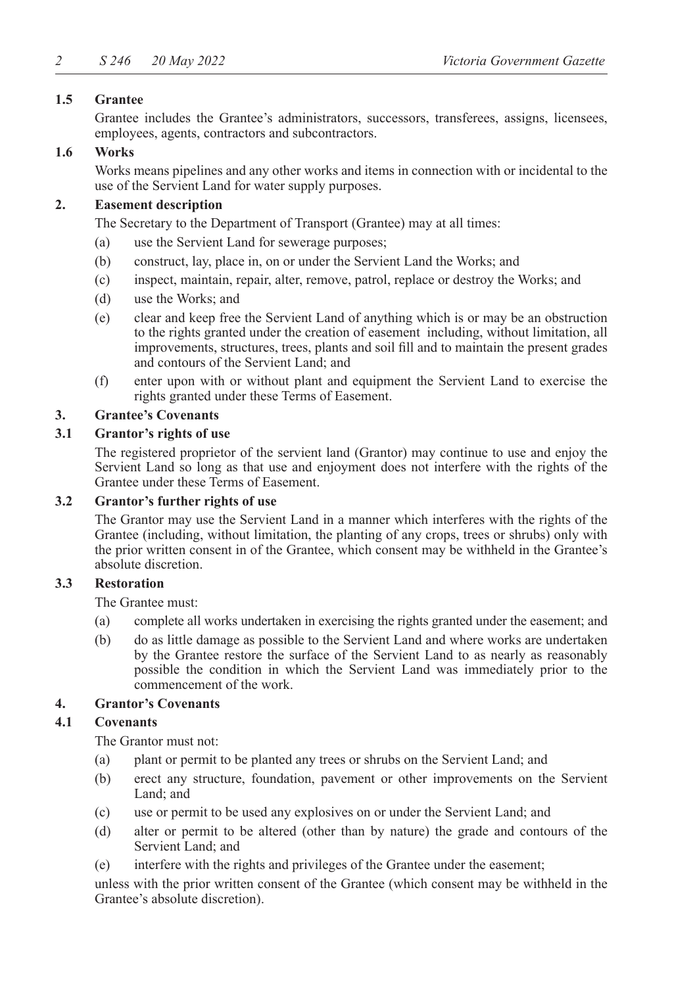# **1.5 Grantee**

Grantee includes the Grantee's administrators, successors, transferees, assigns, licensees, employees, agents, contractors and subcontractors.

# **1.6 Works**

Works means pipelines and any other works and items in connection with or incidental to the use of the Servient Land for water supply purposes.

# **2. Easement description**

The Secretary to the Department of Transport (Grantee) may at all times:

- (a) use the Servient Land for sewerage purposes;
- (b) construct, lay, place in, on or under the Servient Land the Works; and
- (c) inspect, maintain, repair, alter, remove, patrol, replace or destroy the Works; and
- (d) use the Works; and
- (e) clear and keep free the Servient Land of anything which is or may be an obstruction to the rights granted under the creation of easement including, without limitation, all improvements, structures, trees, plants and soil fill and to maintain the present grades and contours of the Servient Land; and
- (f) enter upon with or without plant and equipment the Servient Land to exercise the rights granted under these Terms of Easement.

# **3. Grantee's Covenants**

# **3.1 Grantor's rights of use**

The registered proprietor of the servient land (Grantor) may continue to use and enjoy the Servient Land so long as that use and enjoyment does not interfere with the rights of the Grantee under these Terms of Easement.

#### **3.2 Grantor's further rights of use**

The Grantor may use the Servient Land in a manner which interferes with the rights of the Grantee (including, without limitation, the planting of any crops, trees or shrubs) only with the prior written consent in of the Grantee, which consent may be withheld in the Grantee's absolute discretion.

# **3.3 Restoration**

The Grantee must:

- (a) complete all works undertaken in exercising the rights granted under the easement; and
- (b) do as little damage as possible to the Servient Land and where works are undertaken by the Grantee restore the surface of the Servient Land to as nearly as reasonably possible the condition in which the Servient Land was immediately prior to the commencement of the work.

#### **4. Grantor's Covenants**

#### **4.1 Covenants**

The Grantor must not:

- (a) plant or permit to be planted any trees or shrubs on the Servient Land; and
- (b) erect any structure, foundation, pavement or other improvements on the Servient Land; and
- (c) use or permit to be used any explosives on or under the Servient Land; and
- (d) alter or permit to be altered (other than by nature) the grade and contours of the Servient Land; and
- (e) interfere with the rights and privileges of the Grantee under the easement;

unless with the prior written consent of the Grantee (which consent may be withheld in the Grantee's absolute discretion).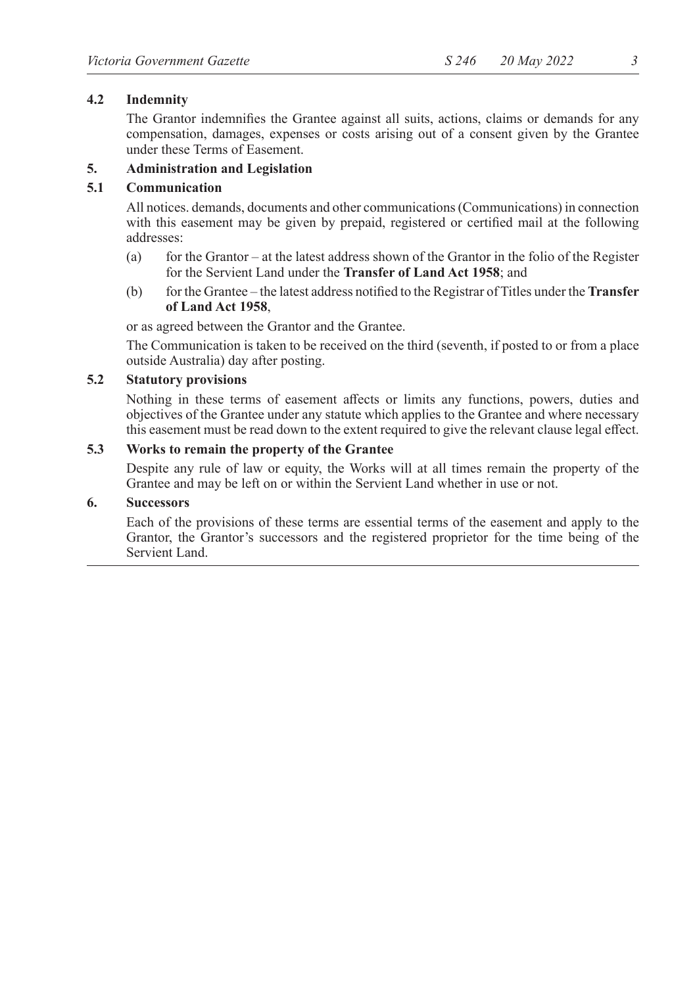# **4.2 Indemnity**

The Grantor indemnifies the Grantee against all suits, actions, claims or demands for any compensation, damages, expenses or costs arising out of a consent given by the Grantee under these Terms of Easement.

# **5. Administration and Legislation**

#### **5.1 Communication**

All notices. demands, documents and other communications (Communications) in connection with this easement may be given by prepaid, registered or certified mail at the following addresses:

- (a) for the Grantor at the latest address shown of the Grantor in the folio of the Register for the Servient Land under the **Transfer of Land Act 1958**; and
- (b) for the Grantee the latest address notified to the Registrar of Titles under the **Transfer of Land Act 1958**,

or as agreed between the Grantor and the Grantee.

The Communication is taken to be received on the third (seventh, if posted to or from a place outside Australia) day after posting.

# **5.2 Statutory provisions**

Nothing in these terms of easement affects or limits any functions, powers, duties and objectives of the Grantee under any statute which applies to the Grantee and where necessary this easement must be read down to the extent required to give the relevant clause legal effect.

#### **5.3 Works to remain the property of the Grantee**

Despite any rule of law or equity, the Works will at all times remain the property of the Grantee and may be left on or within the Servient Land whether in use or not.

#### **6. Successors**

Each of the provisions of these terms are essential terms of the easement and apply to the Grantor, the Grantor's successors and the registered proprietor for the time being of the Servient Land.